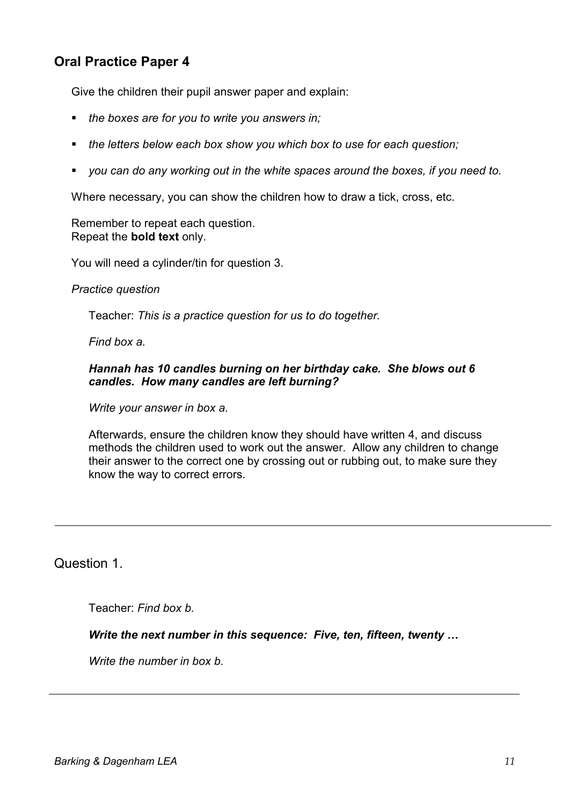## **Oral Practice Paper 4**

Give the children their pupil answer paper and explain:

- *the boxes are for you to write you answers in;*
- *the letters below each box show you which box to use for each question;*
- *you can do any working out in the white spaces around the boxes, if you need to.*

Where necessary, you can show the children how to draw a tick, cross, etc.

Remember to repeat each question. Repeat the **bold text** only.

You will need a cylinder/tin for question 3.

*Practice question* 

Teacher: *This is a practice question for us to do together.*

*Find box a.*

## *Hannah has 10 candles burning on her birthday cake. She blows out 6 candles. How many candles are left burning?*

 *Write your answer in box a.* 

Afterwards, ensure the children know they should have written 4, and discuss methods the children used to work out the answer. Allow any children to change their answer to the correct one by crossing out or rubbing out, to make sure they know the way to correct errors.

Question 1.

Teacher: *Find box b.* 

*Write the next number in this sequence: Five, ten, fifteen, twenty …* 

 *Write the number in box b.*